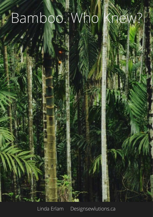## Bamboo. Who Knew?

Linda Erlam Designsewlutions.ca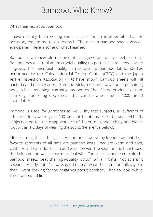## Bamboo. Who Knew?

What I learned about bamboo.

I have recently been writing some articles for an internet site that, on occasion, require me to do research. The one on bamboo sheets was an eye-opener. Here is some of what I learned:

Bamboo is a renewable resource; it can grow four or five feet per day. Bamboo has a natural antimicrobial quality; no pesticides are needed while it grows. This microbial quality carries over to bamboo fabric; studies performed by the China Industrial Testing Center (CTITC) and the Japan Textile Inspection Association (JTIA) have shown bamboo sheets will kill bacteria and destroy odors. Bamboo wicks moisture away from a perspiring body while retaining warming properties. The fibers produce a nonshrinking, non-pilling silky thread that can be woven into a 1000-thread count fabric.

Bamboo is used for garments as well: Fifty test subjects, all sufferers of athlete's foot, were given 100 percent bamboos socks to wear. ALL fifty subjects reported the disappearance of the burning and itching of athlete's foot within 1-2 days of wearing the socks. (Reference below).

After learning these things, I asked around. Two of my friends say that their favorite garments of all time are bamboo knits. They are warm and cool, wash like a dream, don't stain and wear forever. The sewer in the bunch said the knit bamboo was a charm to deal with. The sheet connoisseur said the bamboo sheets beat the high-quality cotton on all fronts. Not scientific research exactly, but it's always good to hear what the common folk say. So, then I went looking for the negatives about bamboo. I had to look awhile. This isall I could find: